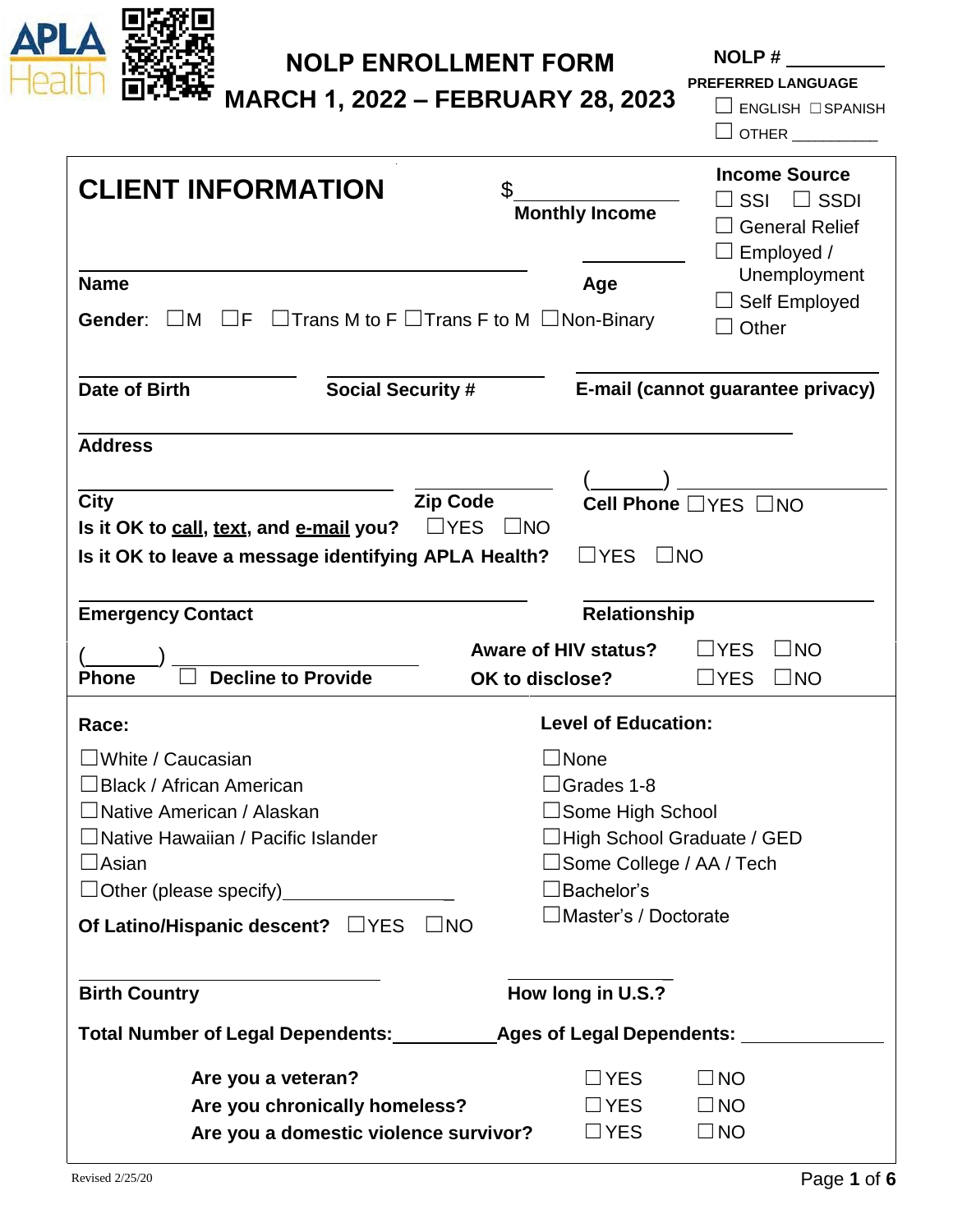

# **NOLP ENROLLMENT FORM**

**NOLP #**

**MARCH 1, 2022 – FEBRUARY 28, 2023**

**PREFERRED LANGUAGE**

☐ ENGLISH ☐SPANISH

 $\Box$  OTHER  $\_\_\_\_\_\_\_\_\_$ 

| <b>CLIENT INFORMATION</b>                                                       |                                                           | \$                                                             | <b>Monthly Income</b>       | <b>Income Source</b><br>SSI<br>$\Box$ SSDI<br><b>General Relief</b><br>Employed / |  |
|---------------------------------------------------------------------------------|-----------------------------------------------------------|----------------------------------------------------------------|-----------------------------|-----------------------------------------------------------------------------------|--|
| <b>Name</b>                                                                     |                                                           |                                                                | Age                         | Unemployment                                                                      |  |
| IF<br>Gender:<br>$\Box M$                                                       | $\Box$ Trans M to F $\Box$ Trans F to M $\Box$ Non-Binary |                                                                |                             | Self Employed<br>Other                                                            |  |
| Date of Birth                                                                   | <b>Social Security #</b>                                  |                                                                |                             | E-mail (cannot guarantee privacy)                                                 |  |
| <b>Address</b>                                                                  |                                                           |                                                                |                             |                                                                                   |  |
| <b>City</b>                                                                     | <b>Zip Code</b>                                           |                                                                |                             | Cell Phone □ YES □ NO                                                             |  |
| Is it OK to call, text, and e-mail you?                                         |                                                           | $\Box$ YES<br>$\Box$ NO                                        |                             |                                                                                   |  |
| $\Box$ YES<br>Is it OK to leave a message identifying APLA Health?<br>$\Box$ NO |                                                           |                                                                |                             |                                                                                   |  |
| <b>Emergency Contact</b>                                                        |                                                           |                                                                | <b>Relationship</b>         |                                                                                   |  |
|                                                                                 |                                                           |                                                                | <b>Aware of HIV status?</b> | $\square$ NO<br>$\sqsupset$ YES                                                   |  |
| <b>Decline to Provide</b><br><b>Phone</b>                                       |                                                           | OK to disclose?                                                |                             | $\square$ NO<br>$\sqsupset$ YES                                                   |  |
| <b>Level of Education:</b><br>Race:                                             |                                                           |                                                                |                             |                                                                                   |  |
| $\Box$ White / Caucasian                                                        |                                                           | ∃None                                                          |                             |                                                                                   |  |
| □Black / African American                                                       |                                                           | $\Box$ Grades 1-8                                              |                             |                                                                                   |  |
| $\Box$ Native American / Alaskan                                                |                                                           | $\Box$ Some High School                                        |                             |                                                                                   |  |
| $\Box$ Native Hawaiian / Pacific Islander<br>$\Box$ Asian                       |                                                           | $\Box$ High School Graduate / GED<br>□Some College / AA / Tech |                             |                                                                                   |  |
| $\Box$ Other (please specify)__________                                         |                                                           |                                                                | Bachelor's!                 |                                                                                   |  |
| Of Latino/Hispanic descent? $\Box$ YES                                          | $\square$ NO                                              |                                                                | ∃Master's / Doctorate       |                                                                                   |  |
|                                                                                 |                                                           |                                                                |                             |                                                                                   |  |
| <b>Birth Country</b>                                                            |                                                           |                                                                | How long in U.S.?           |                                                                                   |  |
|                                                                                 |                                                           |                                                                |                             |                                                                                   |  |
| Are you a veteran?                                                              |                                                           |                                                                | $\Box$ YES                  | $\Box$ NO                                                                         |  |
|                                                                                 | Are you chronically homeless?                             |                                                                | $\Box$ YES                  | $\Box$ NO                                                                         |  |
|                                                                                 | Are you a domestic violence survivor?                     |                                                                | $\Box$ YES                  | $\Box$ NO                                                                         |  |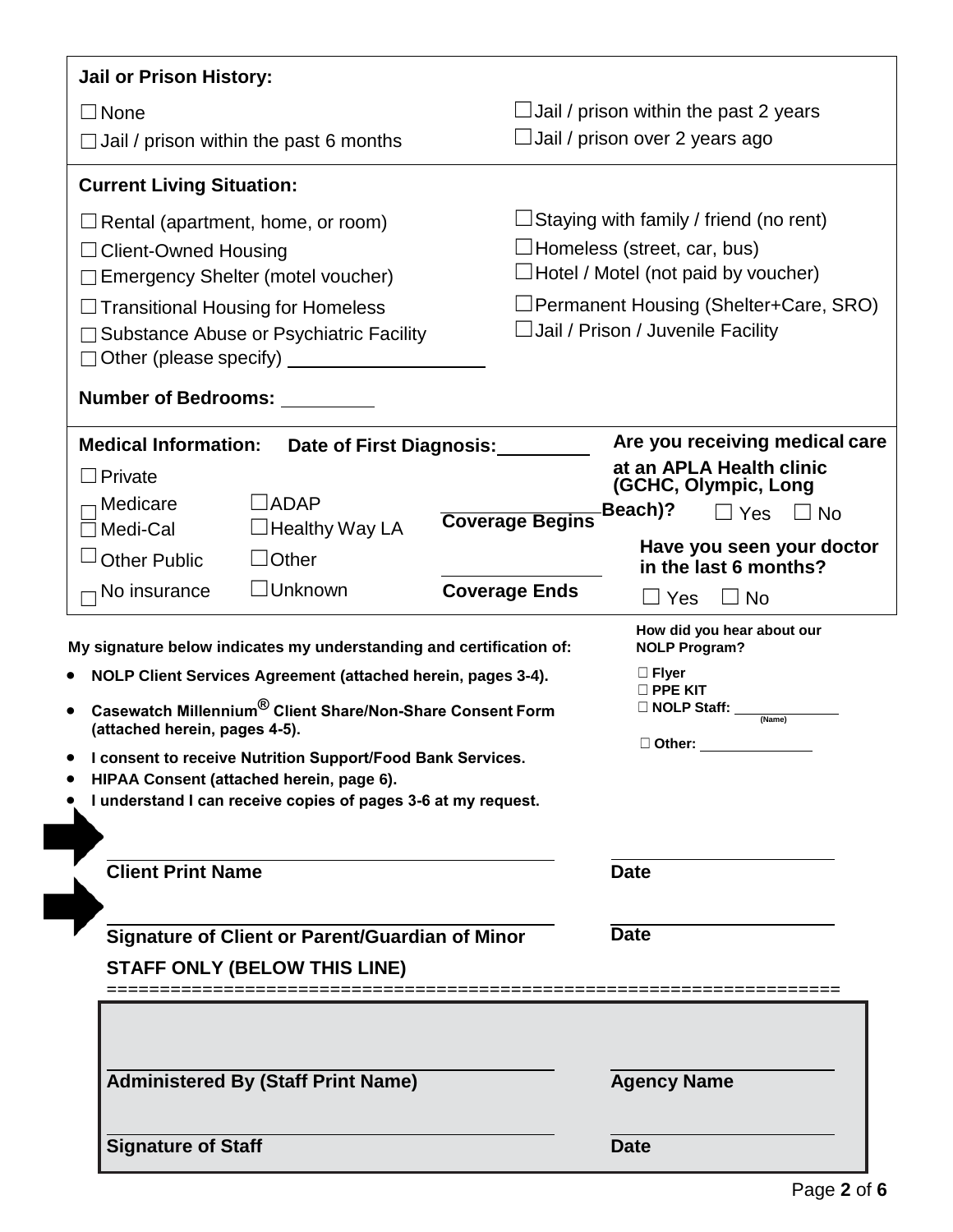| <b>Jail or Prison History:</b>                                                                                                                                                                                                                                                                                                                                                                                                                                                                                                                                                                                                                                                       |                                                                                                                                                                                                                                                                                                                                                  |  |  |  |  |
|--------------------------------------------------------------------------------------------------------------------------------------------------------------------------------------------------------------------------------------------------------------------------------------------------------------------------------------------------------------------------------------------------------------------------------------------------------------------------------------------------------------------------------------------------------------------------------------------------------------------------------------------------------------------------------------|--------------------------------------------------------------------------------------------------------------------------------------------------------------------------------------------------------------------------------------------------------------------------------------------------------------------------------------------------|--|--|--|--|
| $\Box$ None<br>$\Box$ Jail / prison within the past 6 months                                                                                                                                                                                                                                                                                                                                                                                                                                                                                                                                                                                                                         | $\Box$ Jail / prison within the past 2 years<br>Jail / prison over 2 years ago                                                                                                                                                                                                                                                                   |  |  |  |  |
| <b>Current Living Situation:</b>                                                                                                                                                                                                                                                                                                                                                                                                                                                                                                                                                                                                                                                     |                                                                                                                                                                                                                                                                                                                                                  |  |  |  |  |
| Rental (apartment, home, or room)<br>$\Box$ Client-Owned Housing<br>$\Box$ Emergency Shelter (motel voucher)<br>$\Box$ Transitional Housing for Homeless<br>$\Box$ Substance Abuse or Psychiatric Facility<br>$\Box$ Other (please specify) $\Box$ $\Box$ $\Box$ $\Box$ $\Box$ $\Box$ $\Box$<br><b>Number of Bedrooms:</b>                                                                                                                                                                                                                                                                                                                                                           | $\Box$ Staying with family / friend (no rent)<br>$\Box$ Homeless (street, car, bus)<br>$\Box$ Hotel / Motel (not paid by voucher)<br>Permanent Housing (Shelter+Care, SRO)<br>$\Box$ Jail / Prison / Juvenile Facility                                                                                                                           |  |  |  |  |
| <b>Medical Information:</b><br>Date of First Diagnosis:<br>$\Box$ Private<br>$\Box$ ADAP<br>Medicare<br><b>Coverage Begins</b><br>$\Box$ Healthy Way LA<br>Medi-Cal<br><b>Other Public</b><br>$\Box$ Other<br>$\Box$ Unknown<br><b>Coverage Ends</b><br>No insurance<br>My signature below indicates my understanding and certification of:<br>NOLP Client Services Agreement (attached herein, pages 3-4).<br>Casewatch Millennium® Client Share/Non-Share Consent Form<br>(attached herein, pages 4-5).<br>I consent to receive Nutrition Support/Food Bank Services.<br>HIPAA Consent (attached herein, page 6).<br>I understand I can receive copies of pages 3-6 at my request. | Are you receiving medical care<br>at an APLA Health clinic<br>(GCHC, Olympic, Long<br>Beach)?<br>□ Yes l<br>$\Box$ No<br>Have you seen your doctor<br>in the last 6 months?<br>$\square$ Yes<br>$\Box$ No<br>How did you hear about our<br><b>NOLP Program?</b><br>$\Box$ Flyer<br>$\square$ PPE KIT<br>□ NOLP Staff:<br>(Name)<br>$\Box$ Other: |  |  |  |  |
| <b>Client Print Name</b>                                                                                                                                                                                                                                                                                                                                                                                                                                                                                                                                                                                                                                                             | <b>Date</b>                                                                                                                                                                                                                                                                                                                                      |  |  |  |  |
| <b>Signature of Client or Parent/Guardian of Minor</b>                                                                                                                                                                                                                                                                                                                                                                                                                                                                                                                                                                                                                               | <b>Date</b>                                                                                                                                                                                                                                                                                                                                      |  |  |  |  |
| <b>STAFF ONLY (BELOW THIS LINE)</b>                                                                                                                                                                                                                                                                                                                                                                                                                                                                                                                                                                                                                                                  |                                                                                                                                                                                                                                                                                                                                                  |  |  |  |  |
| <b>Administered By (Staff Print Name)</b><br><b>Signature of Staff</b>                                                                                                                                                                                                                                                                                                                                                                                                                                                                                                                                                                                                               | <b>Agency Name</b><br><b>Date</b>                                                                                                                                                                                                                                                                                                                |  |  |  |  |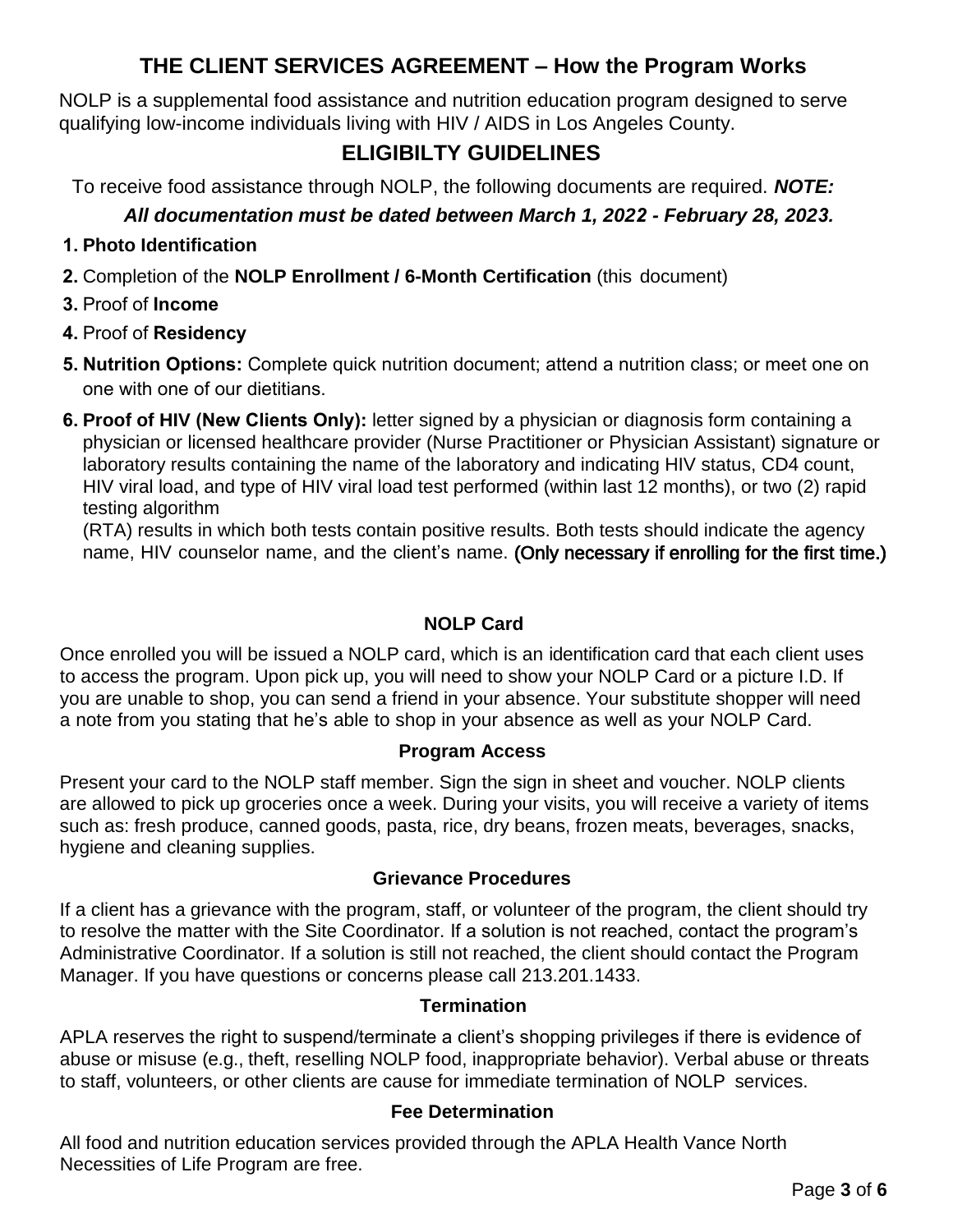## **THE CLIENT SERVICES AGREEMENT – How the Program Works**

NOLP is a supplemental food assistance and nutrition education program designed to serve qualifying low-income individuals living with HIV / AIDS in Los Angeles County.

# **ELIGIBILTY GUIDELINES**

To receive food assistance through NOLP, the following documents are required. *NOTE:* 

## *All documentation must be dated between March 1, 2022 - February 28, 2023.*

### **1. Photo Identification**

- **2.** Completion of the **NOLP Enrollment / 6-Month Certification** (this document)
- **3.** Proof of **Income**
- **4.** Proof of **Residency**
- **5. Nutrition Options:** Complete quick nutrition document; attend a nutrition class; or meet one on one with one of our dietitians.
- **6. Proof of HIV (New Clients Only):** letter signed by a physician or diagnosis form containing a physician or licensed healthcare provider (Nurse Practitioner or Physician Assistant) signature or laboratory results containing the name of the laboratory and indicating HIV status, CD4 count, HIV viral load, and type of HIV viral load test performed (within last 12 months), or two (2) rapid testing algorithm

(RTA) results in which both tests contain positive results. Both tests should indicate the agency name, HIV counselor name, and the client's name. (Only necessary if enrolling for the first time.)

### **NOLP Card**

Once enrolled you will be issued a NOLP card, which is an identification card that each client uses to access the program. Upon pick up, you will need to show your NOLP Card or a picture I.D. If you are unable to shop, you can send a friend in your absence. Your substitute shopper will need a note from you stating that he's able to shop in your absence as well as your NOLP Card.

### **Program Access**

Present your card to the NOLP staff member. Sign the sign in sheet and voucher. NOLP clients are allowed to pick up groceries once a week. During your visits, you will receive a variety of items such as: fresh produce, canned goods, pasta, rice, dry beans, frozen meats, beverages, snacks, hygiene and cleaning supplies.

### **Grievance Procedures**

If a client has a grievance with the program, staff, or volunteer of the program, the client should try to resolve the matter with the Site Coordinator. If a solution is not reached, contact the program's Administrative Coordinator. If a solution is still not reached, the client should contact the Program Manager. If you have questions or concerns please call 213.201.1433.

### **Termination**

APLA reserves the right to suspend/terminate a client's shopping privileges if there is evidence of abuse or misuse (e.g., theft, reselling NOLP food, inappropriate behavior). Verbal abuse or threats to staff, volunteers, or other clients are cause for immediate termination of NOLP services.

### **Fee Determination**

All food and nutrition education services provided through the APLA Health Vance North Necessities of Life Program are free.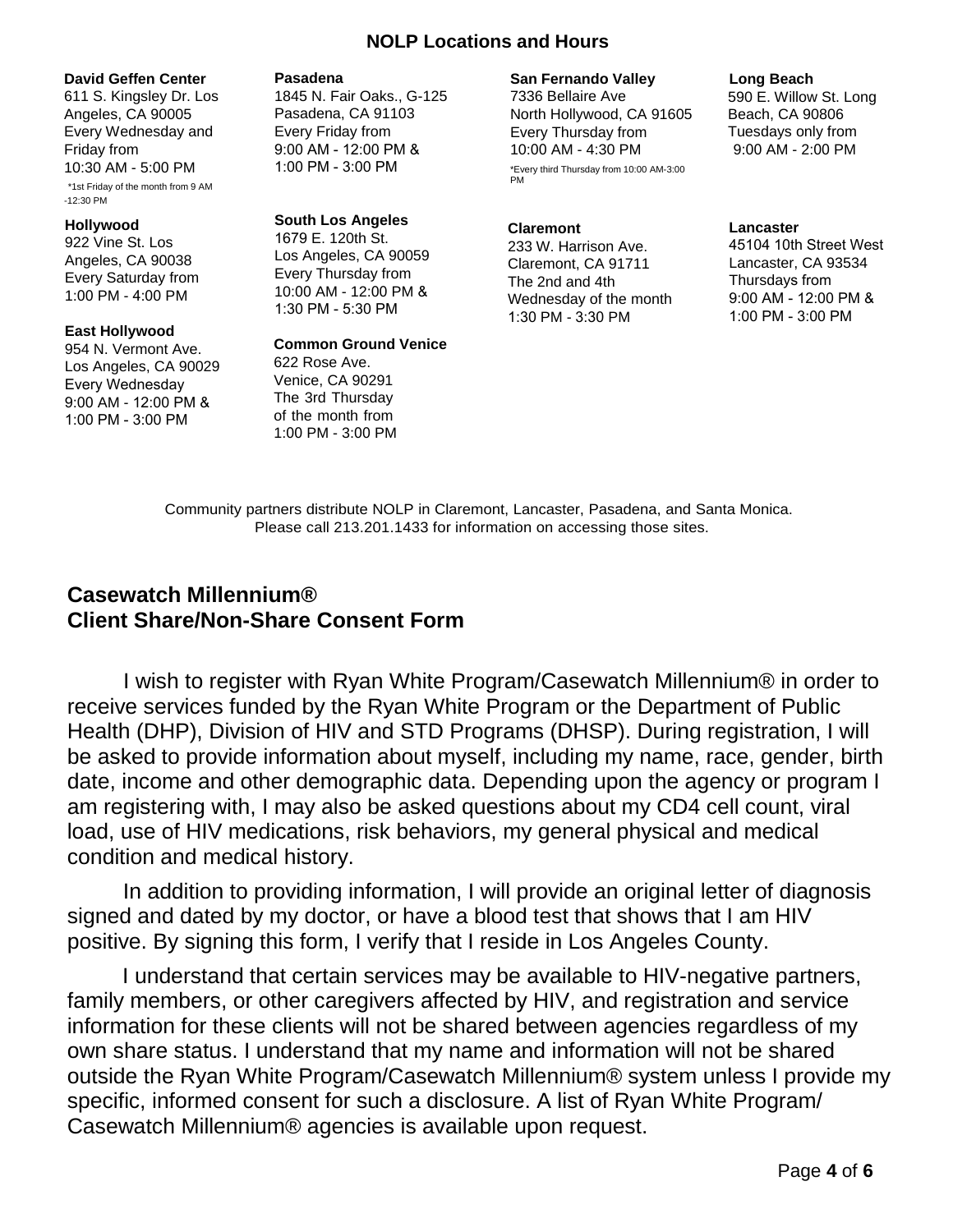### **NOLP Locations and Hours**

#### **David Geffen Center**

611 S. Kingsley Dr. Los Angeles, CA 90005 Every Wednesday and Friday from 10:30 AM - 5:00 PM \*1st Friday of the month from 9 AM -12:30 PM

#### **Hollywood**

922 Vine St. Los Angeles, CA 90038 Every Saturday from 1:00 PM - 4:00 PM

#### **East Hollywood**

954 N. Vermont Ave. Los Angeles, CA 90029 Every Wednesday 9:00 AM - 12:00 PM & 1:00 PM - 3:00 PM

#### **Pasadena**

1845 N. Fair Oaks., G-125 Pasadena, CA 91103 Every Friday from 9:00 AM - 12:00 PM & 1:00 PM - 3:00 PM

### **South Los Angeles**

1679 E. 120th St. Los Angeles, CA 90059 Every Thursday from 10:00 AM - 12:00 PM & 1:30 PM - 5:30 PM

#### **Common Ground Venice**

622 Rose Ave. Venice, CA 90291 The 3rd Thursday of the month from 1:00 PM - 3:00 PM

#### **San Fernando Valley**

7336 Bellaire Ave North Hollywood, CA 91605 Every Thursday from 10:00 AM - 4:30 PM \*Every third Thursday from 10:00 AM-3:00 PM

### **Claremont**

233 W. Harrison Ave. Claremont, CA 91711 The 2nd and 4th Wednesday of the month 1:30 PM - 3:30 PM

#### **Long Beach**

590 E. Willow St. Long Beach, CA 90806 Tuesdays only from 9:00 AM - 2:00 PM

#### **Lancaster**

45104 10th Street West Lancaster, CA 93534 Thursdays from 9:00 AM - 12:00 PM & 1:00 PM - 3:00 PM

Community partners distribute NOLP in Claremont, Lancaster, Pasadena, and Santa Monica. Please call 213.201.1433 for information on accessing those sites.

## **Casewatch Millennium® Client Share/Non-Share Consent Form**

I wish to register with Ryan White Program/Casewatch Millennium® in order to receive services funded by the Ryan White Program or the Department of Public Health (DHP), Division of HIV and STD Programs (DHSP). During registration, I will be asked to provide information about myself, including my name, race, gender, birth date, income and other demographic data. Depending upon the agency or program I am registering with, I may also be asked questions about my CD4 cell count, viral load, use of HIV medications, risk behaviors, my general physical and medical condition and medical history.

In addition to providing information, I will provide an original letter of diagnosis signed and dated by my doctor, or have a blood test that shows that I am HIV positive. By signing this form, I verify that I reside in Los Angeles County.

I understand that certain services may be available to HIV-negative partners, family members, or other caregivers affected by HIV, and registration and service information for these clients will not be shared between agencies regardless of my own share status. I understand that my name and information will not be shared outside the Ryan White Program/Casewatch Millennium® system unless I provide my specific, informed consent for such a disclosure. A list of Ryan White Program/ Casewatch Millennium® agencies is available upon request.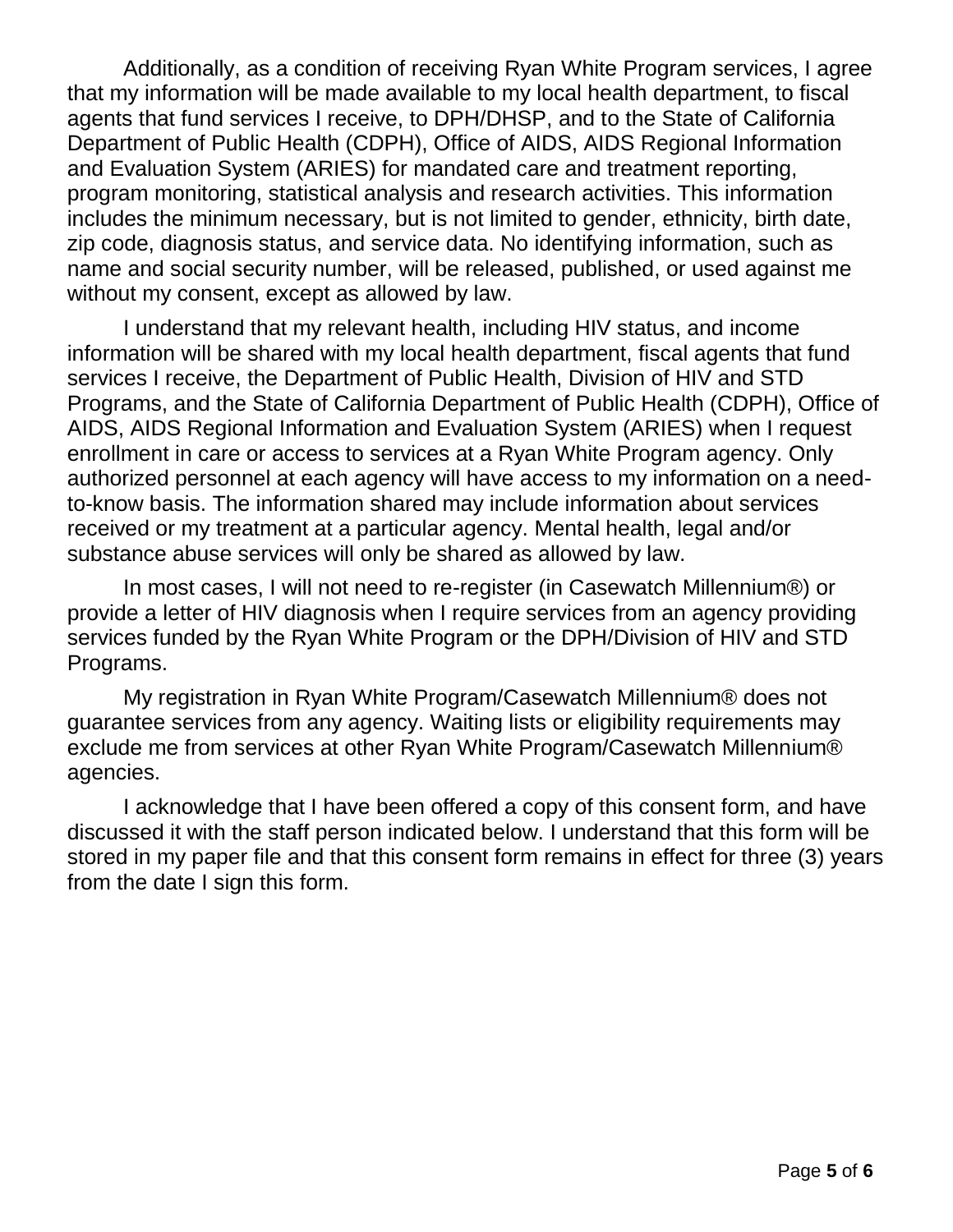Additionally, as a condition of receiving Ryan White Program services, I agree that my information will be made available to my local health department, to fiscal agents that fund services I receive, to DPH/DHSP, and to the State of California Department of Public Health (CDPH), Office of AIDS, AIDS Regional Information and Evaluation System (ARIES) for mandated care and treatment reporting, program monitoring, statistical analysis and research activities. This information includes the minimum necessary, but is not limited to gender, ethnicity, birth date, zip code, diagnosis status, and service data. No identifying information, such as name and social security number, will be released, published, or used against me without my consent, except as allowed by law.

I understand that my relevant health, including HIV status, and income information will be shared with my local health department, fiscal agents that fund services I receive, the Department of Public Health, Division of HIV and STD Programs, and the State of California Department of Public Health (CDPH), Office of AIDS, AIDS Regional Information and Evaluation System (ARIES) when I request enrollment in care or access to services at a Ryan White Program agency. Only authorized personnel at each agency will have access to my information on a needto-know basis. The information shared may include information about services received or my treatment at a particular agency. Mental health, legal and/or substance abuse services will only be shared as allowed by law.

In most cases, I will not need to re-register (in Casewatch Millennium®) or provide a letter of HIV diagnosis when I require services from an agency providing services funded by the Ryan White Program or the DPH/Division of HIV and STD Programs.

My registration in Ryan White Program/Casewatch Millennium® does not guarantee services from any agency. Waiting lists or eligibility requirements may exclude me from services at other Ryan White Program/Casewatch Millennium® agencies.

I acknowledge that I have been offered a copy of this consent form, and have discussed it with the staff person indicated below. I understand that this form will be stored in my paper file and that this consent form remains in effect for three (3) years from the date I sign this form.